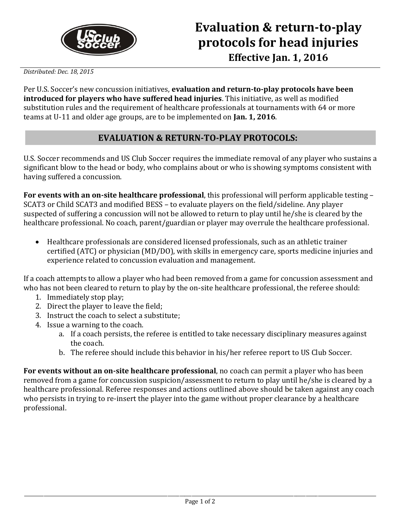

*Distributed: Dec. 18, 2015*

Per U.S. Soccer's new concussion initiatives, **evaluation and return-to-play protocols have been introduced for players who have suffered head injuries**. This initiative, as well as modified substitution rules and the requirement of healthcare professionals at tournaments with 64 or more teams at U-11 and older age groups, are to be implemented on **Jan. 1, 2016**.

## **EVALUATION & RETURN-TO-PLAY PROTOCOLS:**

U.S. Soccer recommends and US Club Soccer requires the immediate removal of any player who sustains a significant blow to the head or body, who complains about or who is showing symptoms consistent with having suffered a concussion.

**For events with an on-site healthcare professional**, this professional will perform applicable testing – SCAT3 or Child SCAT3 and modified BESS – to evaluate players on the field/sideline. Any player suspected of suffering a concussion will not be allowed to return to play until he/she is cleared by the healthcare professional. No coach, parent/guardian or player may overrule the healthcare professional.

 Healthcare professionals are considered licensed professionals, such as an athletic trainer certified (ATC) or physician (MD/DO), with skills in emergency care, sports medicine injuries and experience related to concussion evaluation and management.

If a coach attempts to allow a player who had been removed from a game for concussion assessment and who has not been cleared to return to play by the on-site healthcare professional, the referee should:

- 1. Immediately stop play;
- 2. Direct the player to leave the field;
- 3. Instruct the coach to select a substitute;
- 4. Issue a warning to the coach.
	- a. If a coach persists, the referee is entitled to take necessary disciplinary measures against the coach.
	- b. The referee should include this behavior in his/her referee report to US Club Soccer.

**For events without an on-site healthcare professional**, no coach can permit a player who has been removed from a game for concussion suspicion/assessment to return to play until he/she is cleared by a healthcare professional. Referee responses and actions outlined above should be taken against any coach who persists in trying to re-insert the player into the game without proper clearance by a healthcare professional.